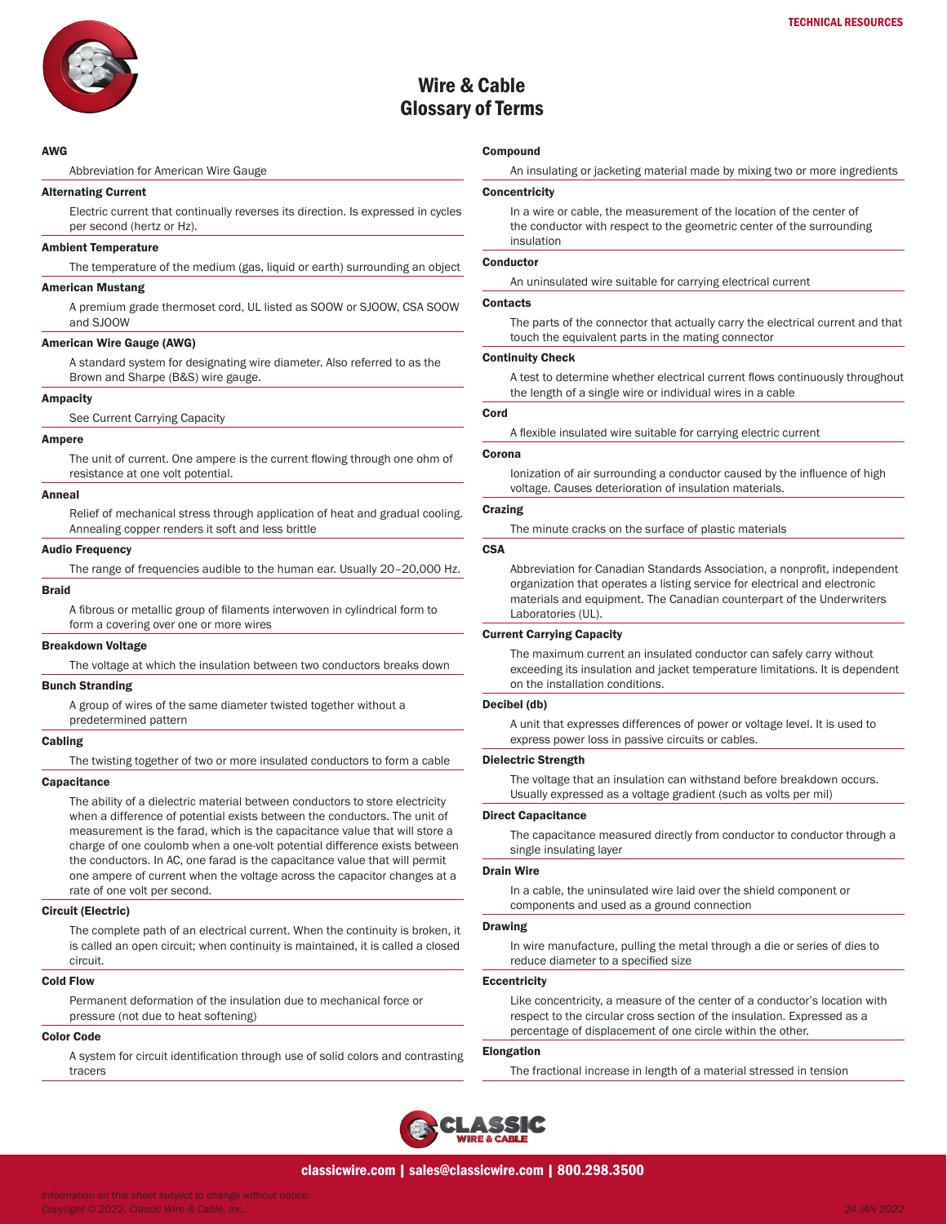

# Wire & Cable Glossary of Terms

## AWG

Abbreviation for American Wire Gauge

## Alternating Current

Electric current that continually reverses its direction. Is expressed in cycles per second (hertz or Hz).

#### Ambient Temperature

The temperature of the medium (gas, liquid or earth) surrounding an object

#### American Mustang

A premium grade thermoset cord, UL listed as SOOW or SJOOW, CSA SOOW and SJOOW

## American Wire Gauge (AWG)

A standard system for designating wire diameter. Also referred to as the Brown and Sharpe (B&S) wire gauge.

## Ampacity

See Current Carrying Capacity

#### Ampere

The unit of current. One ampere is the current flowing through one ohm of resistance at one volt potential.

#### Anneal

Relief of mechanical stress through application of heat and gradual cooling. Annealing copper renders it soft and less brittle

#### **Audio Frequency**

The range of frequencies audible to the human ear. Usually 20–20,000 Hz.

#### Braid

A fibrous or metallic group of filaments interwoven in cylindrical form to form a covering over one or more wires

#### Breakdown Voltage

The voltage at which the insulation between two conductors breaks down

## Bunch Stranding

A group of wires of the same diameter twisted together without a predetermined pattern

## Cabling

The twisting together of two or more insulated conductors to form a cable

#### **Capacitance**

The ability of a dielectric material between conductors to store electricity when a difference of potential exists between the conductors. The unit of measurement is the farad, which is the capacitance value that will store a charge of one coulomb when a one-volt potential difference exists between the conductors. In AC, one farad is the capacitance value that will permit one ampere of current when the voltage across the capacitor changes at a rate of one volt per second.

#### Circuit (Electric)

The complete path of an electrical current. When the continuity is broken, it is called an open circuit; when continuity is maintained, it is called a closed circuit.

#### Cold Flow

Permanent deformation of the insulation due to mechanical force or pressure (not due to heat softening)

#### Color Code

A system for circuit identification through use of solid colors and contrasting tracers

## **Compound**

An insulating or jacketing material made by mixing two or more ingredients

#### **Concentricity**

In a wire or cable, the measurement of the location of the center of the conductor with respect to the geometric center of the surrounding insulation

#### **Conductor**

An uninsulated wire suitable for carrying electrical current

## **Contacts**

The parts of the connector that actually carry the electrical current and that touch the equivalent parts in the mating connector

#### Continuity Check

A test to determine whether electrical current flows continuously throughout the length of a single wire or individual wires in a cable

## Cord

A flexible insulated wire suitable for carrying electric current

#### Corona

Ionization of air surrounding a conductor caused by the influence of high voltage. Causes deterioration of insulation materials.

## Crazing

The minute cracks on the surface of plastic materials

## **CSA**

Abbreviation for Canadian Standards Association, a nonprofit, independent organization that operates a listing service for electrical and electronic materials and equipment. The Canadian counterpart of the Underwriters Laboratories (UL).

## Current Carrying Capacity

The maximum current an insulated conductor can safely carry without exceeding its insulation and jacket temperature limitations. It is dependent on the installation conditions.

#### Decibel (db)

A unit that expresses differences of power or voltage level. It is used to express power loss in passive circuits or cables.

## Dielectric Strength

The voltage that an insulation can withstand before breakdown occurs. Usually expressed as a voltage gradient (such as volts per mil)

## Direct Capacitance

The capacitance measured directly from conductor to conductor through a single insulating layer

#### Drain Wire

In a cable, the uninsulated wire laid over the shield component or components and used as a ground connection

#### Drawing

In wire manufacture, pulling the metal through a die or series of dies to reduce diameter to a specified size

#### **Eccentricity**

Like concentricity, a measure of the center of a conductor's location with respect to the circular cross section of the insulation. Expressed as a percentage of displacement of one circle within the other.

## Elongation

The fractional increase in length of a material stressed in tension

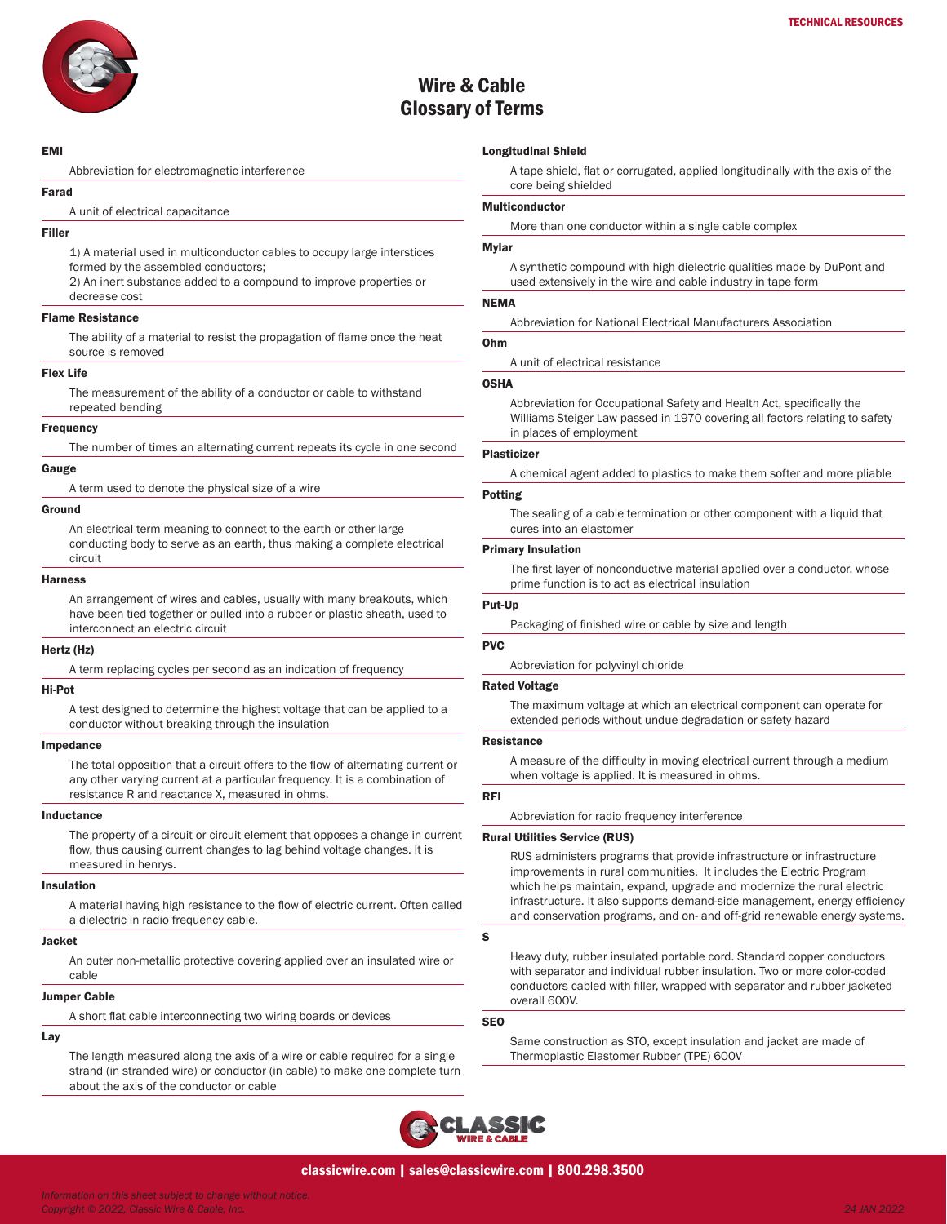

# Wire & Cable Glossary of Terms

#### EMI

Abbreviation for electromagnetic interference

#### Farad

A unit of electrical capacitance

## Filler

1) A material used in multiconductor cables to occupy large interstices formed by the assembled conductors;

2) An inert substance added to a compound to improve properties or decrease cost

#### Flame Resistance

The ability of a material to resist the propagation of flame once the heat source is removed

#### Flex Life

The measurement of the ability of a conductor or cable to withstand repeated bending

#### Frequency

The number of times an alternating current repeats its cycle in one second

## Gauge

A term used to denote the physical size of a wire

#### Ground

An electrical term meaning to connect to the earth or other large conducting body to serve as an earth, thus making a complete electrical circuit

#### Harness

An arrangement of wires and cables, usually with many breakouts, which have been tied together or pulled into a rubber or plastic sheath, used to interconnect an electric circuit

#### Hertz (Hz)

A term replacing cycles per second as an indication of frequency

## Hi-Pot

A test designed to determine the highest voltage that can be applied to a conductor without breaking through the insulation

#### Impedance

The total opposition that a circuit offers to the flow of alternating current or any other varying current at a particular frequency. It is a combination of resistance R and reactance X, measured in ohms.

#### Inductance

The property of a circuit or circuit element that opposes a change in current flow, thus causing current changes to lag behind voltage changes. It is measured in henrys.

#### Insulation

A material having high resistance to the flow of electric current. Often called a dielectric in radio frequency cable.

#### Jacket

An outer non-metallic protective covering applied over an insulated wire or cable

#### Jumper Cable

A short flat cable interconnecting two wiring boards or devices

## Lay

The length measured along the axis of a wire or cable required for a single strand (in stranded wire) or conductor (in cable) to make one complete turn about the axis of the conductor or cable

## Longitudinal Shield

A tape shield, flat or corrugated, applied longitudinally with the axis of the core being shielded

## Multiconductor

More than one conductor within a single cable complex

#### Mylar

A synthetic compound with high dielectric qualities made by DuPont and used extensively in the wire and cable industry in tape form

## NEMA

Abbreviation for National Electrical Manufacturers Association

#### Ohm

A unit of electrical resistance

## OSHA

Abbreviation for Occupational Safety and Health Act, specifically the Williams Steiger Law passed in 1970 covering all factors relating to safety in places of employment

#### Plasticizer

A chemical agent added to plastics to make them softer and more pliable

#### Potting

The sealing of a cable termination or other component with a liquid that cures into an elastomer

#### Primary Insulation

The first layer of nonconductive material applied over a conductor, whose prime function is to act as electrical insulation

## Put-Up

Packaging of finished wire or cable by size and length

#### PVC

Abbreviation for polyvinyl chloride

## Rated Voltage

The maximum voltage at which an electrical component can operate for extended periods without undue degradation or safety hazard

#### Resistance

A measure of the difficulty in moving electrical current through a medium when voltage is applied. It is measured in ohms.

## RFI

Abbreviation for radio frequency interference

## Rural Utilities Service (RUS)

RUS administers programs that provide infrastructure or infrastructure improvements in rural communities. It includes the Electric Program which helps maintain, expand, upgrade and modernize the rural electric infrastructure. It also supports demand-side management, energy efficiency and conservation programs, and on- and off-grid renewable energy systems.

S

Heavy duty, rubber insulated portable cord. Standard copper conductors with separator and individual rubber insulation. Two or more color-coded conductors cabled with filler, wrapped with separator and rubber jacketed overall 600V.

## SEO

Same construction as STO, except insulation and jacket are made of Thermoplastic Elastomer Rubber (TPE) 600V